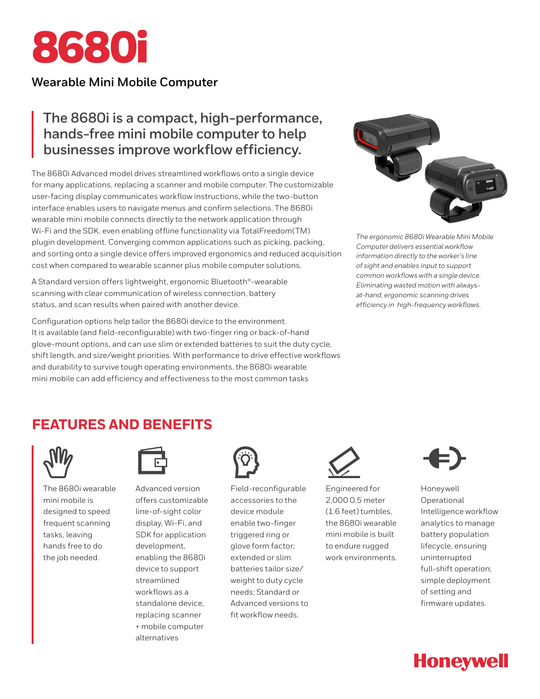

## **Wearable Mini Mobile Computer**

# **The 8680i is a compact, high-performance, hands-free mini mobile computer to help businesses improve workflow efficiency.**

The 8680i Advanced model drives streamlined workflows onto a single device for many applications, replacing a scanner and mobile computer. The customizable user-facing display communicates workflow instructions, while the two-button interface enables users to navigate menus and confirm selections. The 8680i wearable mini mobile connects directly to the network application through Wi-Fi and the SDK, even enabling offline functionality via TotalFreedom(TM) plugin development. Converging common applications such as picking, packing, and sorting onto a single device offers improved ergonomics and reduced acquisition cost when compared to wearable scanner plus mobile computer solutions.

A Standard version offers lightweight, ergonomic Bluetooth®-wearable scanning with clear communication of wireless connection, battery status, and scan results when paired with another device.

Configuration options help tailor the 8680i device to the environment. It is available (and field-reconfigurable) with two-finger ring or back-of-hand glove-mount options, and can use slim or extended batteries to suit the duty cycle, shift length, and size/weight priorities. With performance to drive effective workflows and durability to survive tough operating environments, the 8680i wearable mini mobile can add efficiency and effectiveness to the most common tasks



*The ergonomic 8680i Wearable Mini Mobile Computer delivers essential workflow information directly to the worker's line of sight and enables input to support common workflows with a single device. Eliminating wasted motion with alwaysat-hand, ergonomic scanning drives efficiency in high-frequency workflows.*

# **FEATURES AND BENEFITS**



The 8680i wearable mini mobile is designed to speed frequent scanning tasks, leaving hands free to do the job needed.



Advanced version offers customizable line-of-sight color display, Wi-Fi, and SDK for application development, enabling the 8680i device to support streamlined workflows as a standalone device, replacing scanner + mobile computer alternatives



Field-reconfigurable accessories to the device module enable two-finger triggered ring or glove form factor; extended or slim batteries tailor size/ weight to duty cycle needs; Standard or Advanced versions to fit workflow needs.



Engineered for 2,000 0.5 meter (1.6 feet) tumbles, the 8680i wearable mini mobile is built to endure rugged work environments.



Honeywell Operational Intelligence workflow analytics to manage battery population lifecycle, ensuring uninterrupted full-shift operation; simple deployment of setting and firmware updates.